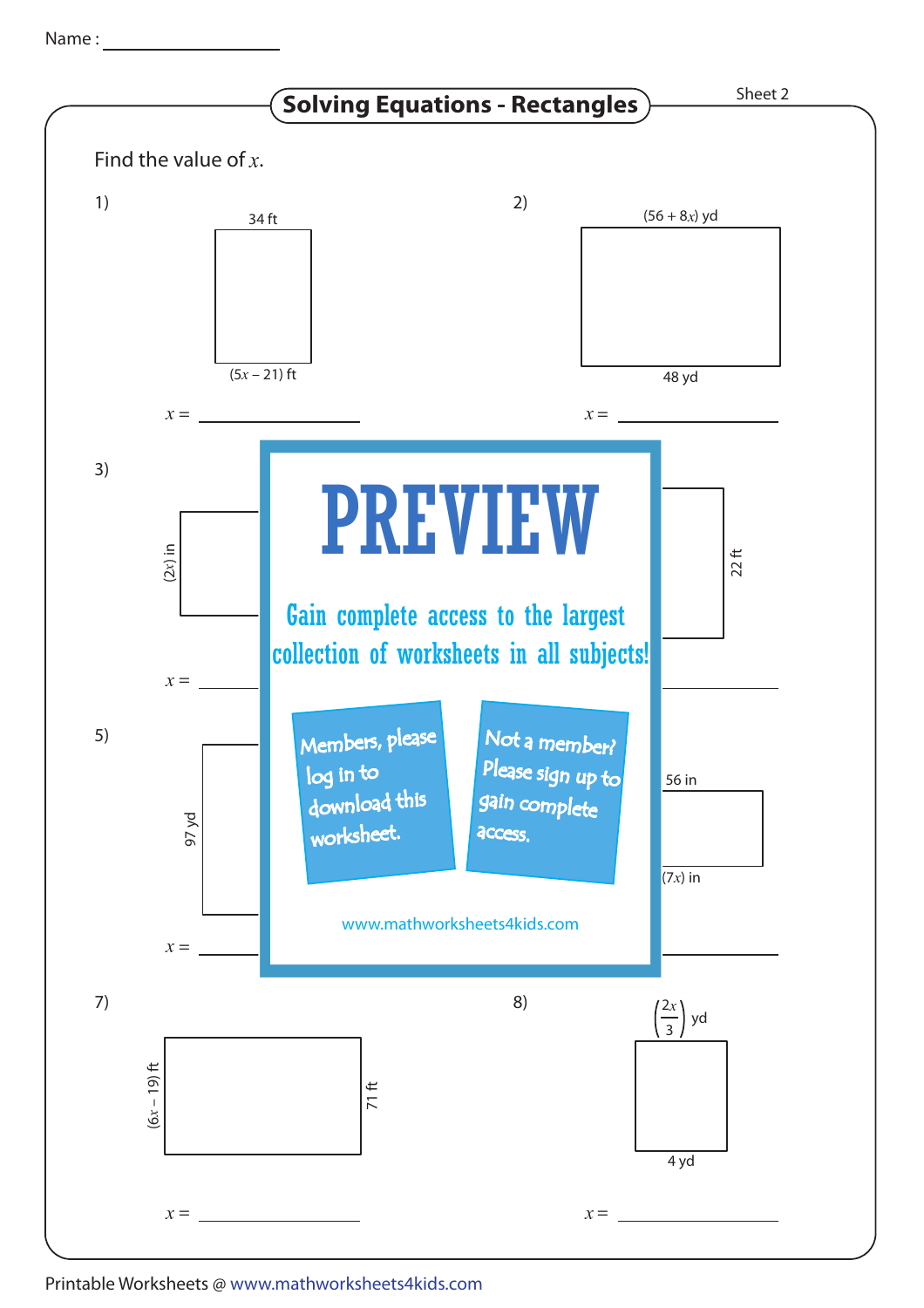Name :



Printable Worksheets @ www.mathworksheets4kids.com